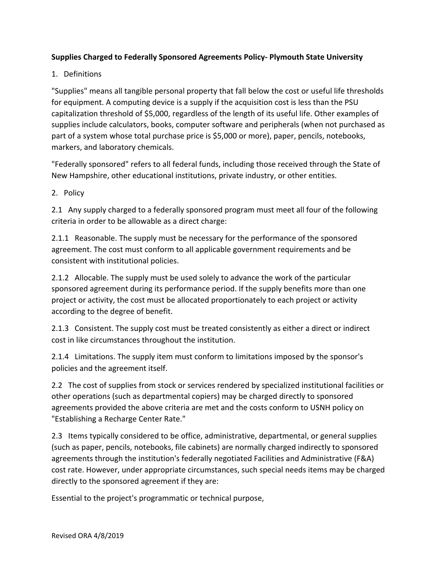## **Supplies Charged to Federally Sponsored Agreements Policy‐ Plymouth State University**

## 1. Definitions

"Supplies" means all tangible personal property that fall below the cost or useful life thresholds for equipment. A computing device is a supply if the acquisition cost is less than the PSU capitalization threshold of \$5,000, regardless of the length of its useful life. Other examples of supplies include calculators, books, computer software and peripherals (when not purchased as part of a system whose total purchase price is \$5,000 or more), paper, pencils, notebooks, markers, and laboratory chemicals.

"Federally sponsored" refers to all federal funds, including those received through the State of New Hampshire, other educational institutions, private industry, or other entities.

2. Policy

2.1 Any supply charged to a federally sponsored program must meet all four of the following criteria in order to be allowable as a direct charge:

2.1.1 Reasonable. The supply must be necessary for the performance of the sponsored agreement. The cost must conform to all applicable government requirements and be consistent with institutional policies.

2.1.2 Allocable. The supply must be used solely to advance the work of the particular sponsored agreement during its performance period. If the supply benefits more than one project or activity, the cost must be allocated proportionately to each project or activity according to the degree of benefit.

2.1.3 Consistent. The supply cost must be treated consistently as either a direct or indirect cost in like circumstances throughout the institution.

2.1.4 Limitations. The supply item must conform to limitations imposed by the sponsor's policies and the agreement itself.

2.2 The cost of supplies from stock or services rendered by specialized institutional facilities or other operations (such as departmental copiers) may be charged directly to sponsored agreements provided the above criteria are met and the costs conform to USNH policy on "Establishing a Recharge Center Rate."

2.3 Items typically considered to be office, administrative, departmental, or general supplies (such as paper, pencils, notebooks, file cabinets) are normally charged indirectly to sponsored agreements through the institution's federally negotiated Facilities and Administrative (F&A) cost rate. However, under appropriate circumstances, such special needs items may be charged directly to the sponsored agreement if they are:

Essential to the project's programmatic or technical purpose,